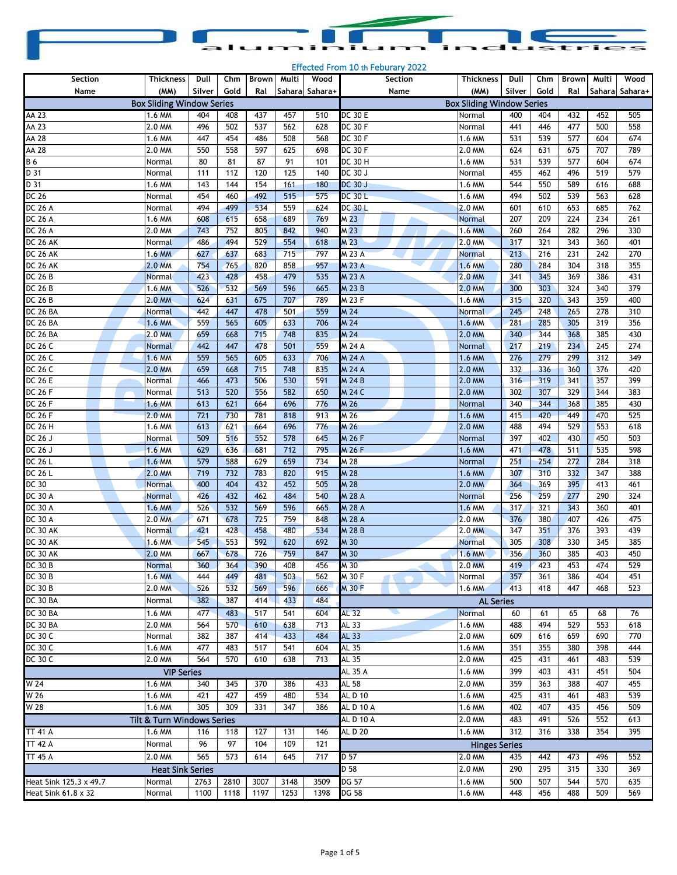| aluminium industries |  |  |
|----------------------|--|--|

| Section                   | Thickness                        | Dull       | Chm        | <b>Brown</b> | Multi      | Wood            | Section          | <b>Thickness</b>                 | Dull       | Chm        | <b>Brown</b> | Multi      | Wood           |
|---------------------------|----------------------------------|------------|------------|--------------|------------|-----------------|------------------|----------------------------------|------------|------------|--------------|------------|----------------|
| Name                      | (MM)                             | Silver     | Gold       | Ral          |            | Saharal Sahara+ | Name             | (MM)                             | Silver     | Gold       | Ral          |            | Sahara Sahara+ |
|                           | <b>Box Sliding Window Series</b> |            |            |              |            |                 |                  | <b>Box Sliding Window Series</b> |            |            |              |            |                |
| AA 23                     | 1.6 MM                           | 404        | 408        | 437          | 457        | 510             | <b>DC 30 E</b>   | Normal                           | 400        | 404        | 432          | 452        | 505            |
| AA 23                     | 2.0 MM                           | 496        | 502        | 537          | 562        | 628             | <b>DC 30 F</b>   | Normal                           | 441        | 446        | 477          | 500        | 558            |
| AA 28                     | 1.6 MM                           | 447        | 454        | 486          | 508        | 568             | <b>DC 30 F</b>   | 1.6 MM                           | 531        | 539        | 577          | 604        | 674            |
| $AA$ 28                   | 2.0 MM                           | 550        | 558        | 597          | 625        | 698             | <b>DC 30 F</b>   | 2.0 MM                           | 624        | 631        | 675          | 707        | 789            |
| <b>B6</b>                 | Normal                           | 80         | 81         | 87           | 91         | 101             | DC 30 H          | 1.6 MM                           | 531        | 539        | 577          | 604        | 674            |
| D 31                      | Normal                           | 111        | 112        | 120          | 125        | 140             | DC 30 J          | Normal                           | 455        | 462        | 496          | 519        | 579            |
| D 31                      | 1.6 MM                           | 143        | 144        | 154          | 161        | 180             | <b>DC 30 J</b>   | 1.6 MM                           | 544        | 550        | 589          | 616        | 688            |
| DC 26                     | Normal                           | 454        | 460        | 492          | 515        | 575             | <b>DC 30 L</b>   | 1.6 MM                           | 494        | 502        | 539          | 563        | 628            |
| DC 26 A                   | Normal                           | 494        | 499        | 534          | 559        | 624             | <b>DC 30 L</b>   | 2.0 MM                           | 601        | 610        | 653          | 685        | 762            |
| DC 26 A                   | 1.6 MM                           | 608        | 615        | 658          | 689        | 769             | M <sub>23</sub>  | Normal                           | 207        | 209        | 224          | 234        | 261            |
| DC 26 A                   | 2.0 MM                           | 743        | 752        | 805          | 842        | 940             | M <sub>23</sub>  | 1.6 MM                           | 260        | 264        | 282          | 296        | 330            |
| <b>DC 26 AK</b>           | Normal                           | 486        | 494        | 529          | 554        | 618             | M 23             | 2.0 MM                           | 317        | 321        | 343          | 360        | 401            |
| <b>DC 26 AK</b>           | 1.6 MM                           | 627        | 637        | 683          | 715        | 797             | M 23 A           | <b>Normal</b>                    | 213        | 216        | 231          | 242        | 270            |
| <b>DC 26 AK</b>           | 2.0 MM                           | 754        | 765        | 820          | 858        | 957             | <b>M23A</b>      | 1.6 MM                           | 280        | 284        | 304          | 318        | 355            |
| <b>DC 26 B</b>            | Normal                           | 423        | 428        | 458          | 479        | 535             | M 23 A           | 2.0 MM                           | 341        | 345        | 369          | 386        | 431            |
| <b>DC 26 B</b>            | 1.6 MM                           | 526        | 532        | 569          | 596        | 665             | M 23 B           | 2.0 MM                           | 300        | 303        | 324          | 340        | 379            |
| <b>DC 26 B</b>            | 2.0 MM                           | 624        | 631        | 675          | 707        | 789             | M 23 F           | 1.6 MM                           | 315        | 320        | 343          | 359        | 400            |
| DC 26 BA                  | <u>Normal</u>                    | 442        | 447        | 478          | 501        | 559             | M 24             | <b>Normal</b>                    | 245        | 248        | 265          | 278        | 310            |
| DC 26 BA                  | 1.6 MM                           | 559        | 565        | 605          | 633        | 706             | M 24             | 1.6 MM                           | 281        | 285        | 305          | 319        | 356            |
| <b>DC 26 BA</b>           | 2.0 MM                           | 659        | 668        | 715          | 748        | 835             | M 24             | 2.0 MM                           | 340        | 344        | 368          | 385        | 430            |
| DC 26 C                   | <b>Normal</b>                    | 442        | 447        | 478          | 501        | 559             | M 24 A           | <b>Normal</b>                    | 217        | 219        | 234          | 245        | 274            |
| DC 26 C                   | 1.6 MM                           | 559        | 565        | 605          | 633        | 706             | M 24 A           | 1.6 MM                           | 276        | 279        | 299          | 312        | 349            |
| DC 26 C                   | 2.0 MM                           | 659        | 668        | 715          | 748        | 835             | M 24 A           | 2.0 MM                           | 332        | 336        | 360          | 376        | 420            |
| <b>DC 26 E</b>            | Normal                           | 466        | 473        | 506          | 530        | 591             | <b>M 24 B</b>    | 2.0 MM                           | 316        | 319        | 341          | 357        | 399            |
| <b>DC 26 F</b>            | Normal                           | 513        | 520        | 556          | 582        | 650             | M 24 C           | 2.0 MM                           | 302        | 307        | 329          | 344        | 383            |
| DC 26 F                   | 1.6 MM                           | 613        | 621        | 664          | 696        | 776             | M 26             | Normal                           | 340        | 344        | 368          | 385        | 430            |
| <b>DC 26 F</b>            | <b>2.0 MM</b>                    | 721        | 730        | 781          | 818        | 913             | M 26             | 1.6 MM                           | 415        | 420        | 449          | 470        | 525            |
| <b>DC 26 H</b>            | 1.6 MM                           | 613        | 621        | 664          | 696        | 776             | M 26             | 2.0 MM                           | 488        | 494        | 529          | 553        | 618            |
| DC 26 J                   | <b>Normal</b>                    | 509        | 516        | 552          | 578        | 645             | M 26 F           | Normal                           | 397        | 402        | 430          | 450        | 503            |
| DC 26 J                   | 1.6 MM                           | 629        | 636        | 681          | 712        | 795             | M 26 F           | 1.6 MM                           | 471        | 478        | 511          | 535        | 598            |
| DC 26 L                   | 1.6 MM                           | 579        | 588        | 629          | 659        | 734             | M 28             | Normal                           | 251        | 254        | 272          | 284        | 318            |
| DC 26 L                   | 2.0 MM                           | 719        | 732        | 783          | 820        | 915             | M 28             | 1.6 MM                           | 307        | 310        | 332          | 347        | 388            |
| DC 30                     | <b>Normal</b>                    | 400        | 404<br>432 | 432          | 452        | 505             | M 28             | 2.0 MM                           | 364        | 369        | 395          | 413        | 461            |
| DC 30 A<br><b>DC 30 A</b> | Normal                           | 426<br>526 | 532        | 462<br>569   | 484<br>596 | 540<br>665      | M 28 A<br>M 28 A | <b>Normal</b>                    | 256<br>317 | 259<br>321 | 277<br>343   | 290<br>360 | 324<br>401     |
| <b>DC 30 A</b>            | 1.6 MM<br>2.0 MM                 | 671        | 678        | 725          | 759        | 848             | M 28 A           | 1.6 MM<br>2.0 MM                 | 376        | 380        | 407          | 426        | 475            |
| DC 30 AK                  | Normal                           | 421        | 428        | 458          | 480        | 534             | M 28 B           | 2.0 MM                           | 347        | 351        | 376          | 393        | 439            |
| DC 30 AK                  | 1.6 MM                           | 545        | 553        | 592          | 620        | 692             | M 30             | Normal                           | 305        | 308        | 330          | 345        | 385            |
| DC 30 AK                  | 2.0 MM                           | 667        | 678        | 726          | 759        | 847             | M 30             | 1.6 MM                           | 356        | 360        | 385          | 403        | 450            |
| <b>DC 30 B</b>            | <b>Normal</b>                    | 360        | 364        | 390          | 408        | 456             | M 30             | 2.0 MM                           | 419        | 423        | 453          | 474        | 529            |
| DC 30 B                   | 1.6 MM                           | 444        | 449        | 481          | 503        | 562             | M 30 F           | Normal                           | 357        | 361        | 386          | 404        | 451            |
| <b>DC 30 B</b>            | 2.0 MM                           | 526        | 532        | 569          | 596        | 666             | M 30 F           | 1.6 MM                           | 413        | 418        | 447          | 468        | 523            |
| DC 30 BA                  | Normal                           | 382        | 387        | 414          | 433        | 484             |                  | <b>AL Series</b>                 |            |            |              |            |                |
| DC 30 BA                  | 1.6 MM                           | 477        | 483        | 517          | 541        | 604             | <b>AL 32</b>     | <b>Normal</b>                    | 60         | 61         | 65           | 68         | 76             |
| DC 30 BA                  | 2.0 MM                           | 564        | 570        | 610          | 638        | 713             | AL 33            | 1.6 MM                           | 488        | 494        | 529          | 553        | 618            |
| DC 30 C                   | Normal                           | 382        | 387        | 414          | 433        | 484             | <b>AL 33</b>     | 2.0 MM                           | 609        | 616        | 659          | 690        | 770            |
| DC 30 C                   | 1.6 MM                           | 477        | 483        | 517          | 541        | 604             | AL 35            | 1.6 MM                           | 351        | 355        | 380          | 398        | 444            |
| DC 30 C                   | 2.0 MM                           | 564        | 570        | 610          | 638        | 713             | AL 35            | 2.0 MM                           | 425        | 431        | 461          | 483        | 539            |
|                           | <b>VIP Series</b>                |            |            |              |            |                 | AL 35 A          | 1.6 MM                           | 399        | 403        | 431          | 451        | 504            |
| W 24                      | 1.6 MM                           | 340        | 345        | 370          | 386        | 433             | AL 58            | 2.0 MM                           | 359        | 363        | 388          | 407        | 455            |
| W 26                      | 1.6 MM                           | 421        | 427        | 459          | 480        | 534             | <b>ALD 10</b>    | 1.6 MM                           | 425        | 431        | 461          | 483        | 539            |
| W 28                      | 1.6 MM                           | 305        | 309        | 331          | 347        | 386             | <b>ALD 10 A</b>  | 1.6 MM                           | 402        | 407        | 435          | 456        | 509            |
|                           | Tilt & Turn Windows Series       |            |            |              |            |                 | AL D 10 A        | 2.0 MM                           | 483        | 491        | 526          | 552        | 613            |
| <b>TT 41 A</b>            | 1.6 MM                           | 116        | 118        | 127          | 131        | 146             | AL D 20          | 1.6 MM                           | 312        | 316        | 338          | 354        | 395            |
| <b>TT 42 A</b>            | Normal                           | 96         | 97         | 104          | 109        | 121             |                  |                                  |            |            |              |            |                |
|                           |                                  |            |            |              |            |                 |                  | <b>Hinges Series</b>             |            |            |              |            |                |
| <b>TT 45 A</b>            | 2.0 MM                           | 565        | 573        | 614          | 645        | 717             | D 57             | 2.0 MM                           | 435        | 442        | 473          | 496        | 552            |
|                           | <b>Heat Sink Series</b>          |            |            |              |            |                 | D 58             | 2.0 MM                           | 290        | 295        | 315          | 330        | 369            |
| Heat Sink 125.3 x 49.7    | Normal                           | 2763       | 2810       | 3007         | 3148       | 3509            | <b>DG 57</b>     | 1.6 MM                           | 500        | 507        | 544          | 570        | 635            |
| Heat Sink 61.8 x 32       | Normal                           | 1100       | 1118       | 1197         | 1253       | 1398            | DG 58            | 1.6 MM                           | 448        | 456        | 488          | 509        | 569            |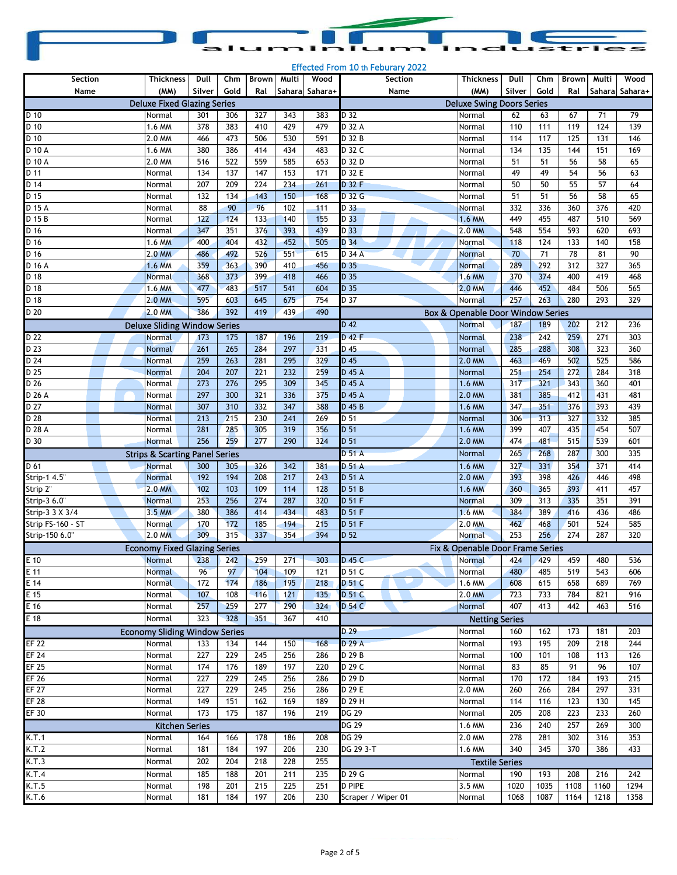|  |  | aluminium industries |
|--|--|----------------------|

| Section             | <b>Thickness</b>                          | Dull       | Chm  | <b>Brown</b> | Multi      | Wood           | Section            | <b>Thickness</b>                  | Dull            | Chm  | <b>Brown</b> | Multi      | Wood           |
|---------------------|-------------------------------------------|------------|------|--------------|------------|----------------|--------------------|-----------------------------------|-----------------|------|--------------|------------|----------------|
| Name                | (MM)                                      | Silver     | Gold | Ral          |            | Sahara Sahara+ | Name               | (MM)                              | Silver          | Gold | Ral          |            | Sahara Sahara+ |
|                     | <b>Deluxe Fixed Glazing Series</b>        |            |      |              |            |                |                    | <b>Deluxe Swing Doors Series</b>  |                 |      |              |            |                |
| $D$ 10              | Normal                                    | 301        | 306  | 327          | 343        | 383            | D 32               | Normal                            | 62              | 63   | 67           | 71         | 79             |
| D 10                | 1.6 MM                                    | 378        | 383  | 410          | 429        | 479            | D 32 A             | Normal                            | 110             | 111  | 119          | 124        | 139            |
| $\overline{D}$ 10   | 2.0 MM                                    | 466        | 473  | 506          | 530        | 591            | D 32 B             | Normal                            | 114             | 117  | 125          | 131        | 146            |
| $\overline{D}$ 10 A | 1.6 MM                                    | 380        | 386  | 414          | 434        | 483            | D 32 C             | Normal                            | 134             | 135  | 144          | 151        | 169            |
| $\overline{D}$ 10 A | 2.0 MM                                    | 516        | 522  | 559          | 585        | 653            | D 32 D             | Normal                            | 51              | 51   | 56           | 58         | 65             |
| D 11                | Normal                                    | 134        | 137  | 147          | 153        | 171            | D 32 E             | Normal                            | 49              | 49   | 54           | 56         | 63             |
| $\overline{D14}$    | Normal                                    | 207        | 209  | 224          | 234        | 261            | D 32 F             | Normal                            | 50              | 50   | 55           | 57         | 64             |
| $D$ 15              | Normal                                    | 132        | 134  | 143          | 150        | 168            | D 32 G             | Normal                            | 51              | 51   | 56           | 58         | 65             |
| $\overline{D}$ 15 A | Normal                                    | 88         | 90   | 96           | 102        | 111            | D 33               | Normal                            | 332             | 336  | 360          | 376        | 420            |
| D 15 B              | Normal                                    | 122        | 124  | 133          | 140        | 155            | D 33               | 1.6 MM                            | 449             | 455  | 487          | 510        | 569            |
| $\overline{D\ 16}$  | Normal                                    | 347        | 351  | 376          | 393        | 439            | D <sub>33</sub>    | 2.0 MM                            | 548             | 554  | 593          | 620        | 693            |
| $\overline{D}$ 16   | 1.6 MM                                    | 400        | 404  | 432          | 452        | 505            | D 34               | Normal                            | 118             | 124  | 133          | 140        | 158            |
| $\overline{D\ 16}$  | 2.0 MM                                    | 486        | 492  | 526          | 551        | 615            | D 34 A             | <b>Normal</b>                     | $\overline{70}$ | 71   | 78           | 81         | 90             |
| D 16 A              | 1.6 MM                                    | 359        | 363  | 390          | 410        | 456            | D 35               |                                   | 289             | 292  | 312          | 327        | 365            |
|                     |                                           |            | 373  |              |            |                | D 35               | <b>Normal</b>                     |                 | 374  |              |            |                |
| D 18<br>D 18        | Normal<br>1.6 MM                          | 368<br>477 | 483  | 399<br>517   | 418<br>541 | 466<br>604     | D 35               | 1.6 MM<br>2.0 MM                  | 370<br>446      | 452  | 400<br>484   | 419<br>506 | 468<br>565     |
| D 18                | 2.0 MM                                    | 595        | 603  | 645          | 675        | 754            | D 37               | Normal                            | 257             | 263  | 280          | 293        | 329            |
|                     |                                           |            |      |              |            |                |                    |                                   |                 |      |              |            |                |
| D 20                | 2.0 MM                                    | 386        | 392  | 419          | 439        | 490            |                    | Box & Openable Door Window Series |                 |      |              |            |                |
|                     | <b>Deluxe Sliding Window Series</b>       |            |      |              |            |                | $D$ 42             | Normal                            | 187             | 189  | 202          | 212        | 236            |
| D <sub>22</sub>     | <b>Normal</b>                             | 173        | 175  | 187          | 196        | 219            | D 42 F             | Normal                            | 238             | 242  | 259          | 271        | 303            |
| $D$ <sub>23</sub>   | <b>Normal</b>                             | 261        | 265  | 284          | 297        | 331            | $D$ 45             | Normal                            | 285             | 288  | 308          | 323        | 360            |
| D 24                | Normal                                    | 259        | 263  | 281          | 295        | 329            | D 45               | 2.0 MM                            | 463             | 469  | 502          | 525        | 586            |
| D 25                | Normal                                    | 204        | 207  | 221          | 232        | 259            | D 45 A             | Normal                            | 251             | 254  | 272          | 284        | 318            |
| D 26                | Normal                                    | 273        | 276  | 295          | 309        | 345            | D 45 A             | 1.6 MM                            | 317             | 321  | 343          | 360        | 401            |
| $\overline{D}$ 26 A | Normal                                    | 297        | 300  | 321          | 336        | 375            | D 45 A             | 2.0 MM                            | 381             | 385  | 412          | 431        | 481            |
| D 27                | <b>Normal</b>                             | 307        | 310  | 332          | 347        | 388            | D 45 B             | 1.6 MM                            | 347             | 351  | 376          | 393        | 439            |
| D 28                | <b>Normal</b>                             | 213        | 215  | 230          | 241        | 269            | D 51               | Normal                            | 306             | 313  | 327          | 332        | 385            |
| D 28 A              | Normal                                    | 281        | 285  | 305          | 319        | 356            | D 51               | 1.6 MM                            | 399             | 407  | 435          | 454        | 507            |
| D 30                | Normal                                    | 256        | 259  | 277          | 290        | 324            | D 51               | 2.0 MM                            | 474             | 481  | 515          | 539        | 601            |
|                     | <b>Strips &amp; Scarting Panel Series</b> |            |      |              |            |                | <b>D 51 A</b>      | Normal                            | 265             | 268  | 287          | 300        | 335            |
| D 61                | <b>Normal</b>                             | 300        | 305  | 326          | 342        | 381            | D 51 A             | 1.6 MM                            | 327             | 331  | 354          | 371        | 414            |
| Strip-1 4.5"        | <b>Normal</b>                             | 192        | 194  | 208          | 217        | 243            | D 51 A             | 2.0 MM                            | 393             | 398  | 426          | 446        | 498            |
| Strip 2"            | 2.0 MM                                    | 102        | 103  | 109          | 114        | 128            | D 51 B             | 1.6 MM                            | 360             | 365  | 393          | 411        | 457            |
| Strip-3 6.0"        | <b>Normal</b>                             | 253        | 256  | 274          | 287        | 320            | D 51 F             | Normal                            | 309             | 313  | 335          | 351        | 391            |
| Strip-3 3 X 3/4     | 3.5 MM                                    | 380        | 386  | 414          | 434        | 483            | D 51 F             | 1.6 MM                            | 384             | 389  | 416          | 436        | 486            |
| Strip FS-160 - ST   | Normal                                    | 170        | 172  | 185          | 194        | 215            | D 51 F             | 2.0 MM                            | 462             | 468  | 501          | 524        | 585            |
| Strip-150 6.0"      | 2.0 MM                                    | 309        | 315  | 337          | 354        | 394            | D 52               | <b>Normal</b>                     | 253             | 256  | 274          | 287        | 320            |
|                     | <b>Economy Fixed Glazing Series</b>       |            |      |              |            |                |                    | Fix & Openable Door Frame Series  |                 |      |              |            |                |
| $E$ 10              | <b>Normal</b>                             | 238        | 242  | 259          | 271        | 303            | $D$ 45 C           | <b>Normal</b>                     | 424             | 429  | 459          | 480        | 536            |
| E 11                | <b>Normal</b>                             | 96         | 97   | 104          | 109        | 121            | D 51 C             | Normal                            | 480             | 485  | 519          | 543        | 606            |
| $E$ 14              | Normal                                    | 172        | 174  | 186          | 195        | 218            | D 51 C             | 1.6 MM                            | 608             | 615  | 658          | 689        | 769            |
| $E$ 15              | Normal                                    | 107        | 108  | 116          | 121        | 135            | D 51 C             | 2.0 MM                            | 723             | 733  | 784          | 821        | 916            |
| $E$ 16              | Normal                                    | 257        | 259  | 277          | 290        | 324            | D 54 C             | <b>Normal</b>                     | 407             | 413  | 442          | 463        | 516            |
| $E$ 18              | Normal                                    | 323        | 328  | 351          | 367        | 410            |                    | <b>Netting Series</b>             |                 |      |              |            |                |
|                     |                                           |            |      |              |            |                | D <sub>29</sub>    |                                   |                 |      |              |            |                |
|                     | <b>Economy Sliding Window Series</b>      |            |      |              |            |                |                    | Normal                            | 160             | 162  | 173          | 181        | 203            |
| <b>EF 22</b>        | Normal                                    | 133        | 134  | 144          | 150        | 168            | D 29 A             | Normal                            | 193             | 195  | 209          | 218        | 244            |
| <b>EF 24</b>        | Normal                                    | 227        | 229  | 245          | 256        | 286            | D 29 B             | Normal                            | 100             | 101  | 108          | 113        | 126            |
| EF <sub>25</sub>    | Normal                                    | 174        | 176  | 189          | 197        | 220            | D 29 C             | Normal                            | 83              | 85   | 91           | 96         | 107            |
| <b>EF 26</b>        | Normal                                    | 227        | 229  | 245          | 256        | 286            | D 29 D             | Normal                            | 170             | 172  | 184          | 193        | 215            |
| <b>EF 27</b>        | Normal                                    | 227        | 229  | 245          | 256        | 286            | D 29 E             | 2.0 MM                            | 260             | 266  | 284          | 297        | 331            |
| <b>EF 28</b>        | Normal                                    | 149        | 151  | 162          | 169        | 189            | D 29 H             | Normal                            | 114             | 116  | 123          | 130        | 145            |
| <b>EF 30</b>        | Normal                                    | 173        | 175  | 187          | 196        | 219            | <b>DG 29</b>       | Normal                            | 205             | 208  | 223          | 233        | 260            |
|                     | <b>Kitchen Series</b>                     |            |      |              |            |                | DG 29              | 1.6 MM                            | 236             | 240  | 257          | 269        | 300            |
| K.T.1               | Normal                                    | 164        | 166  | 178          | 186        | 208            | DG 29              | 2.0 MM                            | 278             | 281  | 302          | 316        | 353            |
| K.T.2               | Normal                                    | 181        | 184  | 197          | 206        | 230            | DG 29 3-T          | 1.6 MM                            | 340             | 345  | 370          | 386        | 433            |
| K.T.3               | Normal                                    | 202        | 204  | 218          | 228        | 255            |                    | <b>Textile Series</b>             |                 |      |              |            |                |
| K.T.4               | Normal                                    | 185        | 188  | 201          | 211        | 235            | D 29 G             | Normal                            | 190             | 193  | 208          | 216        | 242            |
| K.T.5               | Normal                                    | 198        | 201  | 215          | 225        | 251            | <b>D PIPE</b>      | 3.5 MM                            | 1020            | 1035 | 1108         | 1160       | 1294           |
| K.T.6               | Normal                                    | 181        | 184  | 197          | 206        | 230            | Scraper / Wiper 01 | Normal                            | 1068            | 1087 | 1164         | 1218       | 1358           |
|                     |                                           |            |      |              |            |                |                    |                                   |                 |      |              |            |                |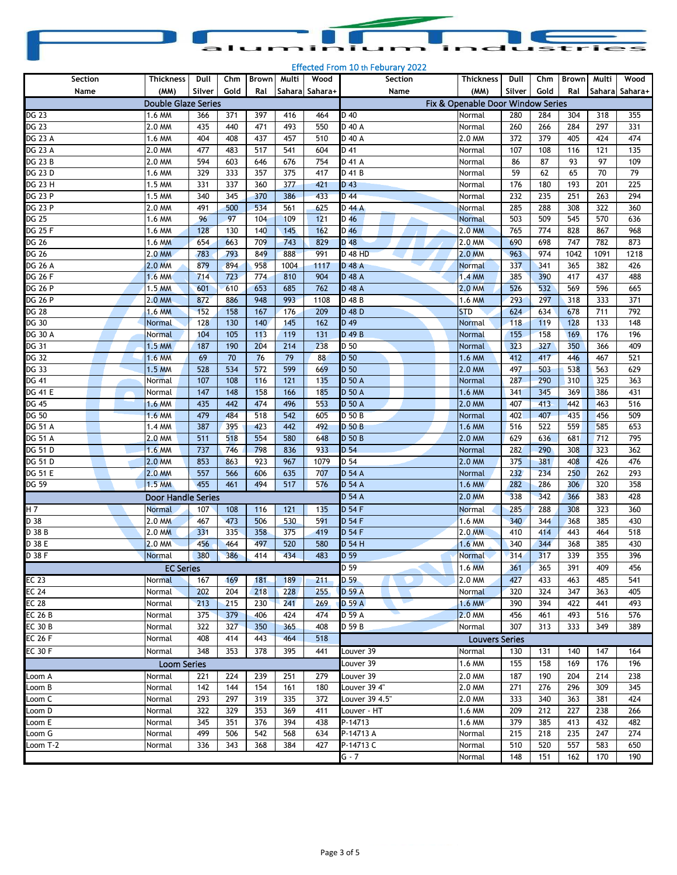| aluminium industries |  |  |
|----------------------|--|--|

| Section            | Thickness                  | Dull   | Chm  | Brown Multi |      | Wood            | Section                                                                         | <b>Thickness</b>      | Dull   | Chm  | <b>Brown</b> | Multi | Wood           |
|--------------------|----------------------------|--------|------|-------------|------|-----------------|---------------------------------------------------------------------------------|-----------------------|--------|------|--------------|-------|----------------|
| Name               | (MM)                       | Silver | Gold | Ral         |      | Sahara  Sahara+ | Name                                                                            | (MM)                  | Silver | Gold | Ral          |       | Sahara Sahara+ |
|                    | <b>Double Glaze Series</b> |        |      |             |      |                 |                                                                                 |                       |        |      |              |       |                |
| $\overline{DG}$ 23 | 1.6 MM                     | 366    | 371  | 397         | 416  | 464             | Fix & Openable Door Window Series<br>D 40<br>280<br>284<br>304<br>318<br>Normal |                       |        |      |              |       |                |
| DG 23              | 2.0 MM                     | 435    | 440  | 471         | 493  | 550             | D 40 A                                                                          | Normal                | 260    | 266  | 284          | 297   | 355<br>331     |
| DG 23 A            | 1.6 MM                     | 404    | 408  | 437         | 457  | 510             | D 40 A                                                                          | 2.0 MM                | 372    | 379  | 405          | 424   | 474            |
| DG 23 A            | 2.0 MM                     | 477    | 483  | 517         | 541  | 604             | D 41                                                                            | Normal                | 107    | 108  | 116          | 121   | 135            |
| <b>DG 23 B</b>     | 2.0 MM                     | 594    | 603  | 646         | 676  | 754             | D 41 A                                                                          | Normal                | 86     | 87   | 93           | 97    | 109            |
| DG 23 D            | 1.6 MM                     | 329    | 333  | 357         | 375  | 417             | D 41 B                                                                          | Normal                | 59     | 62   | 65           | 70    | 79             |
| DG 23 H            | 1.5 MM                     | 331    | 337  | 360         | 377  | 421             | D 43                                                                            | Normal                | 176    | 180  | 193          | 201   | 225            |
| DG 23 P            | 1.5 MM                     | 340    | 345  | 370         | 386  | 433             | D 44                                                                            | Normal                | 232    | 235  | 251          | 263   | 294            |
| DG 23 P            | 2.0 MM                     | 491    | 500  | 534         | 561  | 625             | D 44 A                                                                          | Normal                | 285    | 288  | 308          | 322   | 360            |
| DG 25              | 1.6 MM                     | 96     | 97   | 104         | 109  | 121             | D 46                                                                            | Normal                | 503    | 509  | 545          | 570   | 636            |
| <b>DG 25 F</b>     | 1.6 MM                     | 128    | 130  | 140         | 145  | 162             | $D$ 46                                                                          | 2.0 MM                | 765    | 774  | 828          | 867   | 968            |
| DG 26              | 1.6 MM                     | 654    | 663  | 709         | 743  | 829             | D 48                                                                            | 2.0 MM                | 690    | 698  | 747          | 782   | 873            |
| DG 26              | 2.0 MM                     | 783    | 793  | 849         | 888  | 991             | D 48 HD                                                                         | 2.0 MM                | 963    | 974  | 1042         | 1091  | 1218           |
| DG 26 A            | 2.0 MM                     | 879    | 894  | 958         | 1004 | 1117            | D 48 A                                                                          | <b>Normal</b>         | 337    | 341  | 365          | 382   | 426            |
| DG 26 F            | 1.6 MM                     | 714    | 723  | 774         | 810  | 904             | D 48 A                                                                          | <b>1.4 MM</b>         | 385    | 390  | 417          | 437   | 488            |
| DG 26 P            | 1.5 MM                     | 601    | 610  | 653         | 685  | 762             | D 48 A                                                                          | 2.0 MM                | 526    | 532  | 569          | 596   | 665            |
| DG 26 P            | 2.0 MM                     | 872    | 886  | 948         | 993  | 1108            | D 48 B                                                                          | 1.6 MM                | 293    | 297  | 318          | 333   | 371            |
| DG 28              | 1.6 MM                     | 152    | 158  | 167         | 176  | 209             | D 48 D                                                                          | <b>STD</b>            | 624    | 634  | 678          | 711   | 792            |
| DG 30              | Normal                     | 128    | 130  | 140         | 145  | 162             | D 49                                                                            | <b>Normal</b>         | 118    | 119  | 128          | 133   | 148            |
| DG 30 A            | <b>Normal</b>              | 104    | 105  | 113         | 119  | 131             | D 49 B                                                                          | <b>Normal</b>         | 155    | 158  | 169          | 176   | 196            |
| DG 31              | 1.5 MM                     | 187    | 190  | 204         | 214  | 238             | D 50                                                                            | Normal                | 323    | 327  | 350          | 366   | 409            |
| DG 32              | 1.6 MM                     | 69     | 70   | 76          | 79   | 88              | D 50                                                                            | 1.6 MM                | 412    | 417  | 446          | 467   | 521            |
| DG 33              | 1.5 MM                     | 528    | 534  | 572         | 599  | 669             | D 50                                                                            | 2.0 MM                | 497    | 503  | 538          | 563   | 629            |
| DG 41              | Normal                     | 107    | 108  | 116         | 121  | 135             | D 50 A                                                                          | Normal                | 287    | 290  | 310          | 325   | 363            |
| DG 41 E            | Normal                     | 147    | 148  | 158         | 166  | 185             | D 50 A                                                                          | 1.6 MM                | 341    | 345  | 369          | 386   | 431            |
| DG 45              | 1.6 MM                     | 435    | 442  | 474         | 496  | 553             | <b>D 50 A</b>                                                                   | 2.0 MM                | 407    | 413  | 442          | 463   | 516            |
| DG 50              | 1.6 MM                     | 479    | 484  | 518         | 542  | 605             | D 50 B                                                                          | Normal                | 402    | 407  | 435          | 456   | 509            |
| <b>DG 51 A</b>     | 1.4 MM                     | 387    | 395  | 423         | 442  | 492             | D 50 B                                                                          | 1.6 MM                | 516    | 522  | 559          | 585   | 653            |
| DG 51 A            | 2.0 MM                     | 511    | 518  | 554         | 580  | 648             | D 50 B                                                                          | 2.0 MM                | 629    | 636  | 681          | 712   | 795            |
| DG 51 D            | 1.6 MM                     | 737    | 746  | 798         | 836  | 933             | D 54                                                                            | Normal                | 282    | 290  | 308          | 323   | 362            |
| DG 51 D            | 2.0 MM                     | 853    | 863  | 923         | 967  | 1079            | D 54                                                                            | 2.0 MM                | 375    | 381  | 408          | 426   | 476            |
| DG 51 E            | 2.0 MM                     | 557    | 566  | 606         | 635  | 707             | $D$ 54 A                                                                        | Normal                | 232    | 234  | 250          | 262   | 293            |
| DG 59              | 1.5 MM                     | 455    | 461  | 494         | 517  | 576             | D 54 A                                                                          | 1.6 MM                | 282    | 286  | 306          | 320   | 358            |
|                    | <b>Door Handle Series</b>  |        |      |             |      |                 | D 54 A                                                                          | 2.0 MM                | 338    | 342  | 366          | 383   | 428            |
| H 7                | <b>Normal</b>              | 107    | 108  | 116         | 121  | 135             | D 54 F                                                                          | <b>Normal</b>         | 285    | 288  | 308          | 323   | 360            |
| D 38               | 2.0 MM                     | 467    | 473  | 506         | 530  | 591             | D 54 F                                                                          | 1.6 MM                | 340    | 344  | 368          | 385   | 430            |
| D 38 B             | 2.0 MM                     | 331    | 335  | 358         | 375  | 419             | D 54 F                                                                          | 2.0 MM                | 410    | 414  | 443          | 464   | 518            |
| D 38 E             | 2.0 MM                     | 456    | 464  | 497         | 520  | 580             | D 54 H                                                                          | 1.6 MM                | 340    | 344  | 368          | 385   | 430            |
| D 38 F             | <b>Normal</b>              | 380    | 386  | 414         | 434  | 483             | D 59                                                                            | Normal                | 314    | 317  | 339          | 355   | 396            |
|                    | <b>EC Series</b>           |        |      |             |      |                 | D <sub>59</sub>                                                                 | 1.6 MM                | 361    | 365  | 391          | 409   | 456            |
| EC <sub>23</sub>   | Normal                     | 167    | 169  | 181         | 189  | 211             | D 59                                                                            | 2.0 MM                | 427    | 433  | 463          | 485   | 541            |
| <b>EC 24</b>       | Normal                     | 202    | 204  | 218         | 228  | 255             | D 59 A                                                                          | Normal                | 320    | 324  | 347          | 363   | 405            |
| <b>EC 28</b>       | Normal                     | 213    | 215  | 230         | 241  | 269             | D 59 A                                                                          | 1.6 MM                | 390    | 394  | 422          | 441   | 493            |
| <b>EC 26 B</b>     | Normal                     | 375    | 379  | 406         | 424  | 474             | D 59 A                                                                          | 2.0 MM                | 456    | 461  | 493          | 516   | 576            |
| <b>EC 30 B</b>     | Normal                     | 322    | 327  | 350         | 365  | 408             | D 59 B                                                                          | Normal                | 307    | 313  | 333          | 349   | 389            |
| <b>EC 26 F</b>     | Normal                     | 408    | 414  | 443         | 464  | 518             |                                                                                 | <b>Louvers Series</b> |        |      |              |       |                |
| EC 30 F            | Normal                     | 348    | 353  | 378         | 395  | 441             | Louver 39                                                                       | Normal                | 130    | 131  | 140          | 147   | 164            |
|                    | <b>Loom Series</b>         |        |      |             |      |                 | Louver 39                                                                       | 1.6 MM                | 155    | 158  | 169          | 176   | 196            |
| Loom A             | Normal                     | 221    | 224  | 239         | 251  | 279             | Louver 39                                                                       | 2.0 MM                | 187    | 190  | 204          | 214   | 238            |
| Loom B             | Normal                     | 142    | 144  | 154         | 161  | 180             | Louver 39 4"                                                                    | 2.0 MM                | 271    | 276  | 296          | 309   | 345            |
| Loom C             | Normal                     | 293    | 297  | 319         | 335  | 372             | Louver 39 4.5"                                                                  | 2.0 MM                | 333    | 340  | 363          | 381   | 424            |
| Loom D             | Normal                     | 322    | 329  | 353         | 369  | 411             | Louver - HT                                                                     | 1.6 MM                | 209    | 212  | 227          | 238   | 266            |
| oom E              | Normal                     | 345    | 351  | 376         | 394  | 438             | P-14713                                                                         | 1.6 MM                | 379    | 385  | 413          | 432   | 482            |
| Loom G             | Normal                     | 499    | 506  | 542         | 568  | 634             | P-14713 A                                                                       | Normal                | 215    | 218  | 235          | 247   | 274            |
| Loom T-2           | Normal                     | 336    | 343  | 368         | 384  | 427             | P-14713 C                                                                       | Normal                | 510    | 520  | 557          | 583   | 650            |
|                    |                            |        |      |             |      |                 | G - 7                                                                           | Normal                | 148    | 151  | 162          | 170   | 190            |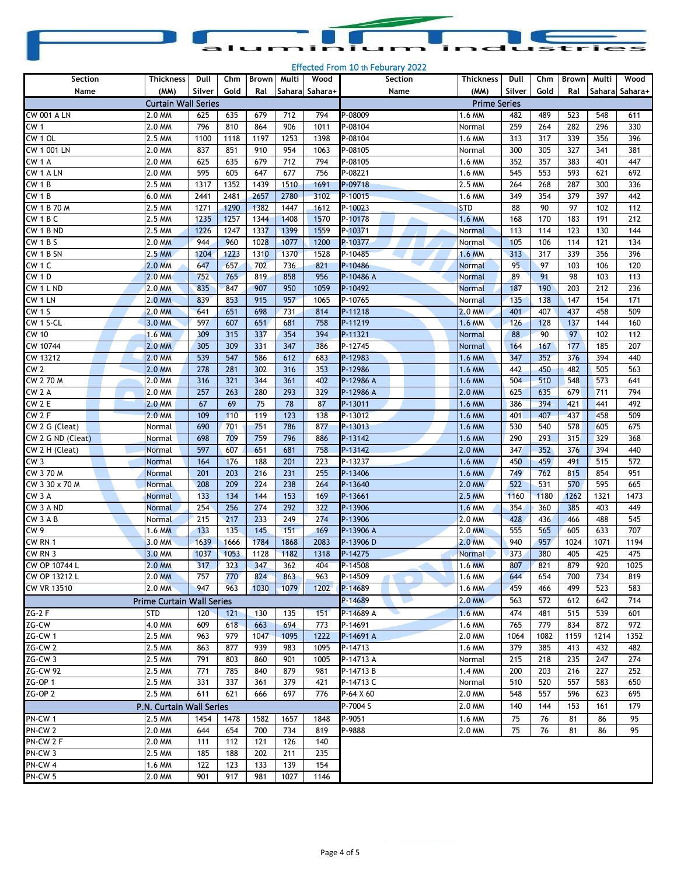|  |  | aluminium industries |  |
|--|--|----------------------|--|

| Section                | <b>Thickness</b>                 | Dull   | Chm  | <b>Brown</b> | Multi | Wood           | Section     | Thickness           | Dull   | Chm  | <b>Brown</b> | Multi | Wood           |
|------------------------|----------------------------------|--------|------|--------------|-------|----------------|-------------|---------------------|--------|------|--------------|-------|----------------|
| Name                   | (MM)                             | Silver | Gold | Ral          |       | Sahara Sahara+ | Name        | (MM)                | Silver | Gold | Ral          |       | Sahara Sahara+ |
|                        | <b>Curtain Wall Series</b>       |        |      |              |       |                |             | <b>Prime Series</b> |        |      |              |       |                |
| <b>CW 001 A LN</b>     | 2.0 MM                           | 625    | 635  | 679          | 712   | 794            | P-08009     | 1.6 MM              | 482    | 489  | 523          | 548   | 611            |
| CW <sub>1</sub>        | 2.0 MM                           | 796    | 810  | 864          | 906   | 1011           | P-08104     | Normal              | 259    | 264  | 282          | 296   | 330            |
| CW <sub>1</sub> OL     | 2.5 MM                           | 1100   | 1118 | 1197         | 1253  | 1398           | P-08104     | 1.6 MM              | 313    | 317  | 339          | 356   | 396            |
| CW 1 001 LN            | 2.0 MM                           | 837    | 851  | 910          | 954   | 1063           | P-08105     | Normal              | 300    | 305  | 327          | 341   | 381            |
| CW <sub>1</sub> A      | 2.0 MM                           | 625    | 635  | 679          | 712   | 794            | P-08105     | 1.6 MM              | 352    | 357  | 383          | 401   | 447            |
| CW 1 A LN              | 2.0 MM                           | 595    | 605  | 647          | 677   | 756            | P-08221     | 1.6 MM              | 545    | 553  | 593          | 621   | 692            |
| CW <sub>1</sub> B      | 2.5 MM                           | 1317   | 1352 | 1439         | 1510  | 1691           | P-09718     | 2.5 MM              | 264    | 268  | 287          | 300   | 336            |
| CW <sub>1</sub> B      | 6.0 MM                           | 2441   | 2481 | 2657         | 2780  | 3102           | P-10015     | 1.6 MM              | 349    | 354  | 379          | 397   | 442            |
| CW 1 B 70 M            | 2.5 MM                           | 1271   | 1290 | 1382         | 1447  | 1612           | P-10023     | <b>STD</b>          | 88     | 90   | 97           | 102   | 112            |
| CW <sub>1</sub> BC     | 2.5 MM                           | 1235   | 1257 | 1344         | 1408  | 1570           | P-10178     | 1.6 MM              | 168    | 170  | 183          | 191   | 212            |
| CW <sub>1</sub> BND    | 2.5 MM                           | 1226   | 1247 | 1337         | 1399  | 1559           | P-10371     | Normal              | 113    | 114  | 123          | 130   | 144            |
| CW1BS                  | 2.0 MM                           | 944    | 960  | 1028         | 1077  | 1200           | P-10377     | Normal              | 105    | 106  | 114          | 121   | 134            |
| CW 1 B SN              | 2.5 MM                           | 1204   | 1223 | 1310         | 1370  | 1528           | P-10485     | 1.6 MM              | 313    | 317  | 339          | 356   | 396            |
| CW <sub>1</sub> C      | 2.0 MM                           | 647    | 657  | 702          | 736   | 821            | P-10486     | <b>Normal</b>       | 95     | 97   | 103          | 106   | 120            |
| CW 1D                  | 2.0 MM                           | 752    | 765  | 819          | 858   | 956            | P-10486 A   | <b>Normal</b>       | 89     | 91   | 98           | 103   | 113            |
| CW 1 L ND              | 2.0 MM                           | 835    | 847  | 907          | 950   | 1059           | P-10492     | <b>Normal</b>       | 187    | 190  | 203          | 212   | 236            |
| CW 1 LN                | 2.0 MM                           | 839    | 853  | 915          | 957   | 1065           | P-10765     | Normal              | 135    | 138  | 147          | 154   | 171            |
| <b>CW 1 S</b>          | 2.0 MM                           | 641    | 651  | 698          | 731   | 814            | P-11218     | 2.0 MM              | 401    | 407  | 437          | 458   | 509            |
| $\overline{CW}$ 1 S-CL | 3.0 MM                           | 597    | 607  | 651          | 681   | 758            | P-11219     | 1.6 MM              | 126    | 128  | 137          | 144   | 160            |
| $\overline{CW}$ 10     | $1.6$ MM                         | 309    | 315  | 337          | 354   | 394            | P-11321     | Normal              | 88     | 90   | 97           | 102   | 112            |
| CW 10744               | 2.0 MM                           | 305    | 309  | 331          | 347   | 386            | P-12745     | Normal              | 164    | 167  | 177          | 185   | 207            |
| CW 13212               | 2.0 MM                           | 539    | 547  | 586          | 612   | 683            | P-12983     | 1.6 MM              | 347    | 352  | 376          | 394   | 440            |
| CW <sub>2</sub>        | 2.0 MM                           | 278    | 281  | 302          | 316   | 353            | P-12986     | 1.6 MM              | 442    | 450  | 482          | 505   | 563            |
| CW 270 M               | 2.0 MM                           | 316    | 321  | 344          | 361   | 402            | P-12986 A   | 1.6 MM              | 504    | 510  | 548          | 573   | 641            |
| CW <sub>2</sub> A      | 2.0 MM                           | 257    | 263  | 280          | 293   | 329            | P-12986 A   | 2.0 MM              | 625    | 635  | 679          | 711   | 794            |
| CW 2 E                 | 2.0 MM                           | 67     | 69   | 75           | 78    | 87             | P-13011     | 1.6 MM              | 386    | 394  | 421          | 441   | 492            |
| CW <sub>2F</sub>       | 2.0 MM                           | 109    | 110  | 119          | 123   | 138            | P-13012     | 1.6 MM              | 401    | 407  | 437          | 458   | 509            |
| CW 2 G (Cleat)         | Normal                           | 690    | 701  | 751          | 786   | 877            | P-13013     | 1.6 MM              | 530    | 540  | 578          | 605   | 675            |
| CW 2 G ND (Cleat)      | Normal                           | 698    | 709  | 759          | 796   | 886            | P-13142     | 1.6 MM              | 290    | 293  | 315          | 329   | 368            |
| CW 2 H (Cleat)         | <b>Normal</b>                    | 597    | 607  | 651          | 681   | 758            | P-13142     | 2.0 MM              | 347    | 352  | 376          | 394   | 440            |
| CW <sub>3</sub>        | Normal                           | 164    | 176  | 188          | 201   | 223            | P-13237     | 1.6 MM              | 450    | 459  | 491          | 515   | 572            |
| CW 370 M               | <b>Normal</b>                    | 201    | 203  | 216          | 231   | 255            | P-13406     | 1.6 MM              | 749    | 762  | 815          | 854   | 951            |
| CW 3 30 x 70 M         | <b>Normal</b>                    | 208    | 209  | 224          | 238   | 264            | P-13640     | 2.0 MM              | 522    | 531  | 570          | 595   | 665            |
| CW <sub>3</sub> A      | Normal                           | 133    | 134  | 144          | 153   | 169            | P-13661     | 2.5 MM              | 1160   | 1180 | 1262         | 1321  | 1473           |
| CW 3 A ND              | <b>Normal</b>                    | 254    | 256  | 274          | 292   | 322            | P-13906     | 1.6 MM              | 354    | 360  | 385          | 403   | 449            |
| CW 3 A B               | Normal                           | 215    | 217  | 233          | 249   | 274            | P-13906     | 2.0 MM              | 428    | 436  | 466          | 488   | 545            |
| CW9                    | 1.6 MM                           | 133    | 135  | 145          | 151   | 169            | P-13906 A   | 2.0 MM              | 555    | 565  | 605          | 633   | 707            |
| CW RN 1                | 3.0 MM                           | 1639   | 1666 | 1784         | 1868  | 2083           | P-13906D    | 2.0 MM              | 940    | 957  | 1024         | 1071  | 1194           |
| CW <sub>RN</sub> 3     | 3.0 MM                           | 1037   | 1053 | 1128         | 1182  | 1318           | P-14275     | <b>Normal</b>       | 373    | 380  | 405          | 425   | 475            |
| CW OP 10744 L          | 2.0 MM                           | 317    | 323  | 347          | 362   | 404            | P-14508     | 1.6 MM              | 807    | 821  | 879          | 920   | 1025           |
| CW OP 13212 L          | 2.0 MM                           | 757    | 770  | 824          | 863   | 963            | P-14509     | 1.6 MM              | 644    | 654  | 700          | 734   | 819            |
| CW VR 13510            | 2.0 MM                           | 947    | 963  | 1030         | 1079  | 1202           | P-14689     | 1.6 MM              | 459    | 466  | 499          | 523   | 583            |
|                        | <b>Prime Curtain Wall Series</b> |        |      |              |       |                | P-14689     | 2.0 MM              | 563    | 572  | 612          | 642   | 714            |
| $ZG-2$ F               | <b>STD</b>                       | 120    | 121  | 130          | 135   | 151            | P-14689 A   | 1.6 MM              | 474    | 481  | 515          | 539   | 601            |
| ZG-CW                  | 4.0 MM                           | 609    | 618  | 663          | 694   | 773            | P-14691     | 1.6 MM              | 765    | 779  | 834          | 872   | 972            |
| ZG-CW 1                | 2.5 MM                           | 963    | 979  | 1047         | 1095  | 1222           | P-14691 A   | 2.0 MM              | 1064   | 1082 | 1159         | 1214  | 1352           |
| ZG-CW <sub>2</sub>     | 2.5 MM                           | 863    | 877  | 939          | 983   | 1095           | P-14713     | 1.6 MM              | 379    | 385  | 413          | 432   | 482            |
| $ZG-CW3$               | 2.5 MM                           | 791    | 803  | 860          | 901   | 1005           | P-14713 A   | Normal              | 215    | 218  | 235          | 247   | 274            |
| <b>ZG-CW 92</b>        | 2.5 MM                           | 771    | 785  | 840          | 879   | 981            | P-14713B    | 1.4 MM              | 200    | 203  | 216          | 227   | 252            |
| ZG-OP 1                | 2.5 MM                           | 331    | 337  | 361          | 379   | 421            | P-14713 C   | Normal              | 510    | 520  | 557          | 583   | 650            |
| $2G-OP$ 2              | 2.5 MM                           | 611    | 621  | 666          | 697   | 776            | $P-64$ X 60 | 2.0 MM              | 548    | 557  | 596          | 623   | 695            |
|                        | P.N. Curtain Wall Series         |        |      |              |       |                | P-7004 S    | 2.0 MM              | 140    | 144  | 153          | 161   | 179            |
| PN-CW 1                | 2.5 MM                           | 1454   | 1478 | 1582         | 1657  | 1848           | P-9051      | 1.6 MM              | 75     | 76   | 81           | 86    | 95             |
| PN-CW <sub>2</sub>     | 2.0 MM                           | 644    | 654  | 700          | 734   | 819            | P-9888      | 2.0 MM              | 75     | 76   | 81           | 86    | 95             |
| PN-CW 2 F              | 2.0 MM                           | 111    | 112  | 121          | 126   | 140            |             |                     |        |      |              |       |                |
| PN-CW <sub>3</sub>     | 2.5 MM                           | 185    | 188  | 202          | 211   | 235            |             |                     |        |      |              |       |                |
| PN-CW 4                | 1.6 MM                           | 122    | 123  | 133          | 139   | 154            |             |                     |        |      |              |       |                |
| PN-CW 5                | 2.0 MM                           | 901    | 917  | 981          | 1027  | 1146           |             |                     |        |      |              |       |                |
|                        |                                  |        |      |              |       |                |             |                     |        |      |              |       |                |